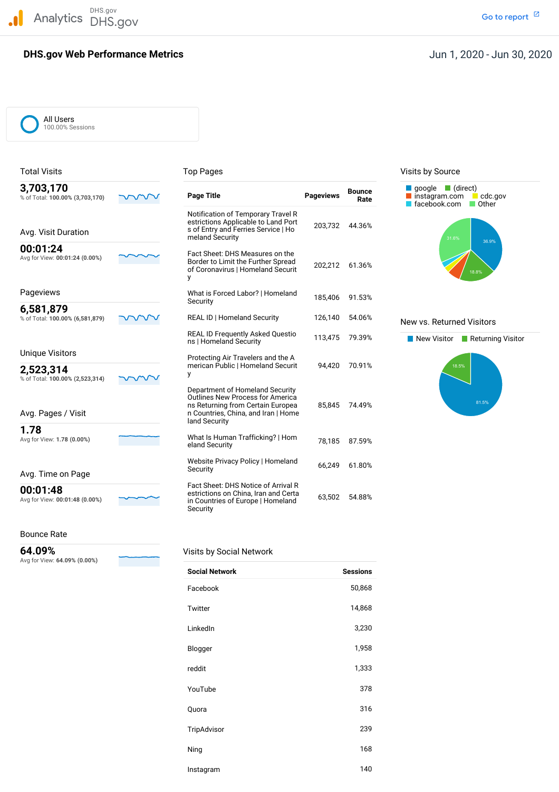DHS.gov Analytics DHS.gov and the contract of the contract of the contract of the contract of the contract of the contract of the contract of the contract of the contract of the contract of the contract of the contract of the cont

#### **DHS.gov Web Performance Metrics**

#### Jun 1, 2020 - Jun 30, 2020

All Users 100.00% Sessions

#### % of Total: **100.00% (3,703,170) Page Title Pageviews Rate** Avg for View: 00:01:24 (0.00%) % of Total: 100.00% (6,581,879) % of Total: 100.00% (2,523,314) Avg for View: 1.78 (0.00%) Avg for View: 00:01:48 (0.00%) Notification of Temporary Travel R estrictions Applicable to Land Port Fact Sheet: DHS Measures on the Border to Limit the Further Spread of Coronavirus | Homeland Securit Pageviews What is Forced Labor? <sup>|</sup> Homeland 185,406 91.53% Security **REAL ID | Homeland Security**  REAL ID Frequently Asked Questio 113,475 79.39% New Visitor Returning Visitor ns <sup>|</sup> Homeland Security ns Returning from Certain Europea 85,845 74.49% Avg. Pages / Visit n Countries, China, and Iran | Home Avg for View: **1.78 (0.00%)** What Is Human Trafficking? <sup>|</sup> Hom 78,185 87.59% eland Security Website Privacy Policy | Homeland 66,249 61.80%<br>Security Security Avg. Time on Page Fact Sheet: DHS Notice of Arrival R Fact Sheet: DHS Notice of Arrival <sup>R</sup> **00:01:48** estrictions on China, Iran and Certa Avg for View: 00:01:48 (0.00%) **Exercises** Connections of Currist, it and certain to S5,502 54.88% in Countries of Europe | Homeland 63,502 54.88% Total Visits **The Contract of Top Pages** Top Pages The Contract of Contract Points by Source **3,703,170 Bounce** [instagram.com](https://instagram.com) cdc.gov estrictions Applicable to Land Port 203,732 44.36%<br>S of Entry and Ferries Service | Ho Avg. Visit Duration meland Security<br>meland Security meland Security **00:01:24 COMPRETE: DHS Measures on the** Avg for View: **00:01:24 (0.00%)** Border to Limit the Further Spread<br>Border to Limit the Further Spread of Coronavirus | Homeland Securit y **6,581,879 TOM** REAL ID | Homeland Security 126,140 54.06% New vs. Returned Visitors Unique Visitors Protecting Air Travelers and the <sup>A</sup> **2,523,314 2,523,314 2,523,314 2,523,314 2,523,314** *werican Public | Homeland Securit* 94,420 **200.91%** Department of Homeland Security Outlines New Process for America land Security **1.78** Security

#### Bounce Rate

Avg for View: **64.09% (0.00%)**

#### **64.09%** Visits by Social Network

| <b>Social Network</b> | <b>Sessions</b> |
|-----------------------|-----------------|
| Facebook              | 50,868          |
| Twitter               | 14,868          |
| LinkedIn              | 3,230           |
| Blogger               | 1,958           |
| reddit                | 1,333           |
| YouTube               | 378             |
| Quora                 | 316             |
| TripAdvisor           | 239             |
| Ning                  | 168             |
| Instagram             | 140             |



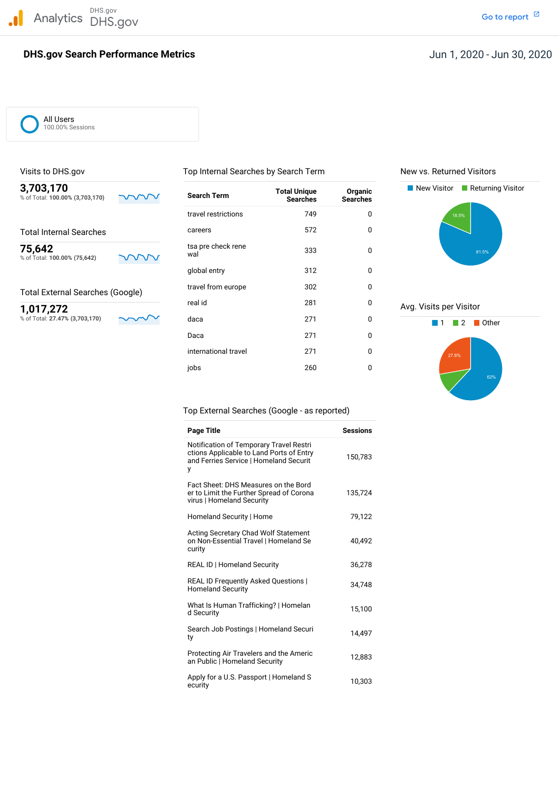DHS.gov Analytics DHS.gov and the contract of the contract of the contract of the contract of the contract of the contract of the contract of the contract of the contract of the contract of the contract of the contract of the cont

#### **DHS.gov Search Performance Metrics**

All Users 100.00% Sessions

% of Total: 100.00% (3,703,170)

% of Total: **100.00% (75,642)**

% of Total: 27.47% (3,703,170)

Visits to DHS.gov Top Internal Searches by Search Term New vs. Returned Visitors

travel restrictions 1749 and 1890 and 1890 and 1890 and 1890 and 1890 and 1890 and 1890 and 1890 and 1890 and 1

global entry and 312 and 312

Daca 271 0 international travel 1999 1271 128 0 jobs 260 0

tsa pre check rene<br>wal

Total Internal Searches **Careers** Careers **572** 0

**75,642** tsa pre check rene 333 0<br>% of Total 100,00% (75.643) and all and all and all and all and all and all and all and all and all and all and a

Total External Searches (Google) travel from europe 302

travel from europe



# real id 281 0 Avg. Visits per Visitor<br>  $\frac{1,017,272}{8}$   $\frac{0}{271}$  Avg. Visits per Visitor



Top External Searches (Google - as reported)

| <b>Page Title</b>                                                                                                                  | <b>Sessions</b> |
|------------------------------------------------------------------------------------------------------------------------------------|-----------------|
| Notification of Temporary Travel Restri<br>ctions Applicable to Land Ports of Entry<br>and Ferries Service   Homeland Securit<br>у | 150,783         |
| Fact Sheet: DHS Measures on the Bord<br>er to Limit the Further Spread of Corona<br>virus   Homeland Security                      | 135,724         |
| Homeland Security   Home                                                                                                           | 79,122          |
| <b>Acting Secretary Chad Wolf Statement</b><br>on Non-Essential Travel   Homeland Se<br>curity                                     | 40,492          |
| REAL ID   Homeland Security                                                                                                        | 36,278          |
| REAL ID Frequently Asked Questions  <br><b>Homeland Security</b>                                                                   | 34.748          |
| What Is Human Trafficking?   Homelan<br>d Security                                                                                 | 15,100          |
| Search Job Postings   Homeland Securi<br>ty                                                                                        | 14,497          |
| Protecting Air Travelers and the Americ<br>an Public   Homeland Security                                                           | 12,883          |
| Apply for a U.S. Passport   Homeland S<br>ecurity                                                                                  | 10,303          |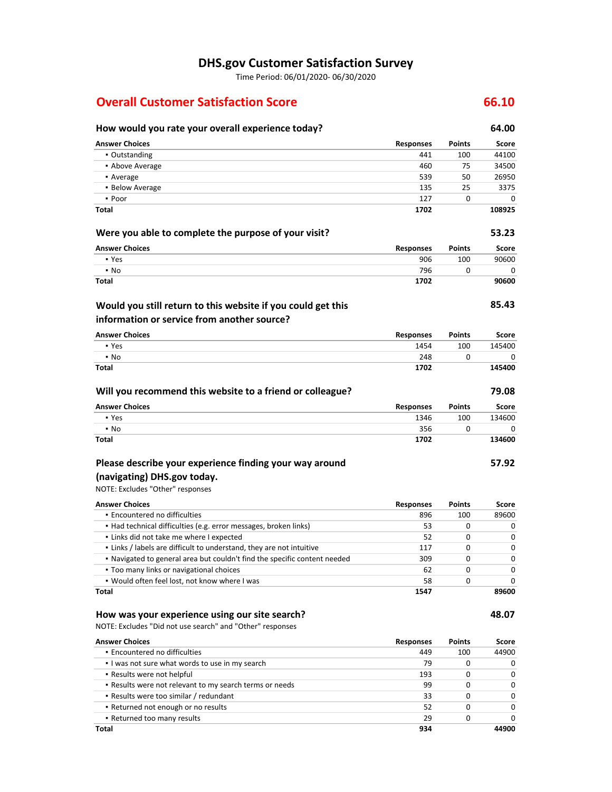### **DHS.gov Customer Satisfaction Survey**

Time Period: 06/01/2020‐ 06/30/2020

#### **Overall Customer Satisfaction Score 66.10**

#### **Will you recommend this website to a friend or colleague? Encountered no difficulties Would you still return to this website if you could get this (navigating) DHS.gov today. How would you rate your overall experience today? 64.00 Answer Choices Responses Points Score** ▪ Outstanding 441 100 44100 ▪ Above Average 460 75 34500 **•** Average 50 26950 **26950** ▪ Below Average 135 25 3375 ▪ Poor 127 0 0 **Total Were you able to complete the purpose of your visit? Answer Choices** ▪ Yes ▪ No **Total information or service from another source? Answer Choices** ▪ Yes ▪ No **Total Answer Choices** ▪ Yes ▪ No **Total Please describe your experience finding your way around**  NOTE: Excludes "Other" responses **Answer Choices 1702 Responses** 906 796 **1702 Responses** 1454 248 **1702 Responses** 1346 356 **1702 Responses** 896 **Points** 100  $\Omega$ **Points** 100 0 **Points** 100 0 **Points** 100 **108925 53.23 Score** 90600 **90600 85.43 Score** 145400 0 **145400 79.08 Score** 134600  $\overline{0}$ **134600 57.92** ▪ Had technical difficulties (e.g. error messages, broken links) ▪ Links did not take me where I expected ▪ Links / labels are difficult to understand, they are not intuitive ▪ Navigated to general area but couldn't find the specific content needed 53 52 117 309 0 0  $\Omega$ 0 0 0

 ▪ Would often feel lost, not know where I was ▪ Too many links or navigational choices **Total** 62 58 **1547**

#### **How was your experience using our site search?**

NOTE: Excludes "Did not use search" and "Other" responses

| <b>Answer Choices</b>                                   | <b>Responses</b> | <b>Points</b> | Score        |
|---------------------------------------------------------|------------------|---------------|--------------|
| • Encountered no difficulties                           | 449              | 100           | 44900        |
| I was not sure what words to use in my search           | 79               | 0             | 0            |
| • Results were not helpful                              | 193              |               | <sup>0</sup> |
| . Results were not relevant to my search terms or needs | 99               | 0             | 0            |
| • Results were too similar / redundant                  | 33               | 0             | <sup>0</sup> |
| • Returned not enough or no results                     | 52               | 0             | U            |
| • Returned too many results                             | 29               |               | <sup>n</sup> |
| Total                                                   | 934              |               | 44900        |

**Score** 89600

> 0 0

0 0

 $\Omega$ 

**89600 48.07**

0 0